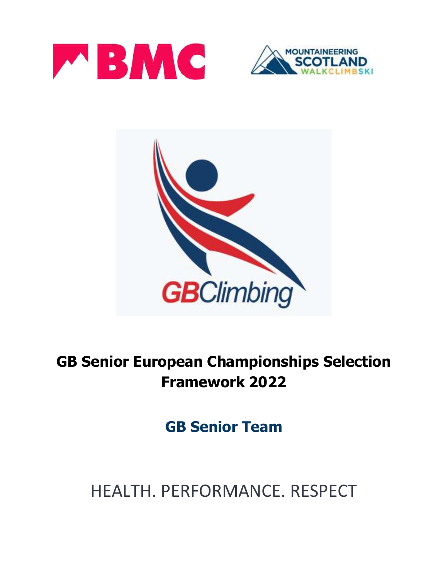





# **GB Senior European Championships Selection Framework 2022**

**GB Senior Team**

# HEALTH. PERFORMANCE. RESPECT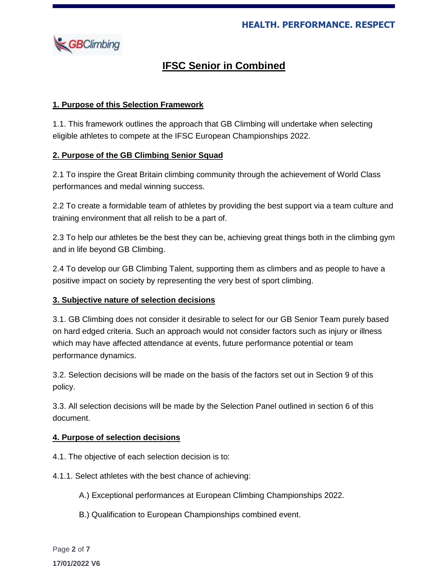

# **IFSC Senior in Combined**

# **1. Purpose of this Selection Framework**

1.1. This framework outlines the approach that GB Climbing will undertake when selecting eligible athletes to compete at the IFSC European Championships 2022.

# **2. Purpose of the GB Climbing Senior Squad**

2.1 To inspire the Great Britain climbing community through the achievement of World Class performances and medal winning success.

2.2 To create a formidable team of athletes by providing the best support via a team culture and training environment that all relish to be a part of.

2.3 To help our athletes be the best they can be, achieving great things both in the climbing gym and in life beyond GB Climbing.

2.4 To develop our GB Climbing Talent, supporting them as climbers and as people to have a positive impact on society by representing the very best of sport climbing.

# **3. Subjective nature of selection decisions**

3.1. GB Climbing does not consider it desirable to select for our GB Senior Team purely based on hard edged criteria. Such an approach would not consider factors such as injury or illness which may have affected attendance at events, future performance potential or team performance dynamics.

3.2. Selection decisions will be made on the basis of the factors set out in Section 9 of this policy.

3.3. All selection decisions will be made by the Selection Panel outlined in section 6 of this document.

# **4. Purpose of selection decisions**

- 4.1. The objective of each selection decision is to:
- 4.1.1. Select athletes with the best chance of achieving:
	- A.) Exceptional performances at European Climbing Championships 2022.
	- B.) Qualification to European Championships combined event.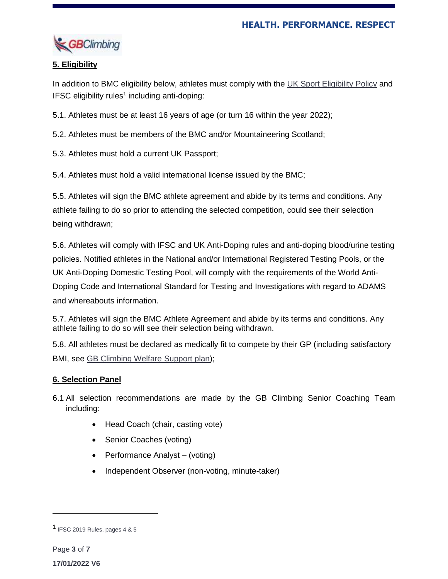

# **5. Eligibility**

In addition to BMC eligibility below, athletes must comply with the UK Sport [Eligibility](https://www.uksport.gov.uk/resources/eligibility) Policy and IFSC eligibility rules<sup>1</sup> including anti-doping:

5.1. Athletes must be at least 16 years of age (or turn 16 within the year 2022);

5.2. Athletes must be members of the BMC and/or Mountaineering Scotland;

5.3. Athletes must hold a current UK Passport;

5.4. Athletes must hold a valid international license issued by the BMC;

5.5. Athletes will sign the BMC athlete agreement and abide by its terms and conditions. Any athlete failing to do so prior to attending the selected competition, could see their selection being withdrawn;

5.6. Athletes will comply with IFSC and UK Anti-Doping rules and anti-doping blood/urine testing policies. Notified athletes in the National and/or International Registered Testing Pools, or the UK Anti-Doping Domestic Testing Pool, will comply with the requirements of the World Anti-Doping Code and International Standard for Testing and Investigations with regard to ADAMS and whereabouts information.

5.7. Athletes will sign the BMC Athlete Agreement and abide by its terms and conditions. Any athlete failing to do so will see their selection being withdrawn.

5.8. All athletes must be declared as medically fit to compete by their GP (including satisfactory BMI, see GB [Climbing](https://www.thebmc.co.uk/media/files/Welfare%20Support%20Plan%20FINAL%204_2(1).pdf?_ga=2.66809454.1324444208.1615818558-81743446.1514886779) Welfare Support plan);

# **6. Selection Panel**

- 6.1 All selection recommendations are made by the GB Climbing Senior Coaching Team including:
	- Head Coach (chair, casting vote)
	- Senior Coaches (voting)
	- Performance Analyst (voting)
	- Independent Observer (non-voting, minute-taker)

 $\overline{a}$ 

<sup>1</sup> IFSC 2019 Rules, pages 4 & 5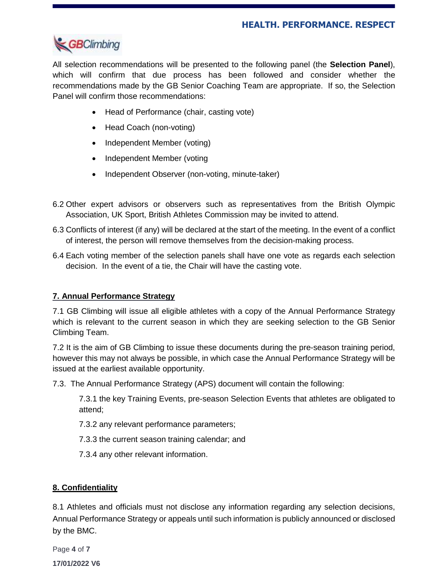

All selection recommendations will be presented to the following panel (the **Selection Panel**), which will confirm that due process has been followed and consider whether the recommendations made by the GB Senior Coaching Team are appropriate. If so, the Selection Panel will confirm those recommendations:

- Head of Performance (chair, casting vote)
- Head Coach (non-voting)
- Independent Member (voting)
- Independent Member (voting
- Independent Observer (non-voting, minute-taker)
- 6.2 Other expert advisors or observers such as representatives from the British Olympic Association, UK Sport, British Athletes Commission may be invited to attend.
- 6.3 Conflicts of interest (if any) will be declared at the start of the meeting. In the event of a conflict of interest, the person will remove themselves from the decision-making process.
- 6.4 Each voting member of the selection panels shall have one vote as regards each selection decision. In the event of a tie, the Chair will have the casting vote.

#### **7. Annual Performance Strategy**

7.1 GB Climbing will issue all eligible athletes with a copy of the Annual Performance Strategy which is relevant to the current season in which they are seeking selection to the GB Senior Climbing Team.

7.2 It is the aim of GB Climbing to issue these documents during the pre-season training period, however this may not always be possible, in which case the Annual Performance Strategy will be issued at the earliest available opportunity.

7.3. The Annual Performance Strategy (APS) document will contain the following:

7.3.1 the key Training Events, pre-season Selection Events that athletes are obligated to attend;

7.3.2 any relevant performance parameters;

- 7.3.3 the current season training calendar; and
- 7.3.4 any other relevant information.

#### **8. Confidentiality**

8.1 Athletes and officials must not disclose any information regarding any selection decisions, Annual Performance Strategy or appeals until such information is publicly announced or disclosed by the BMC.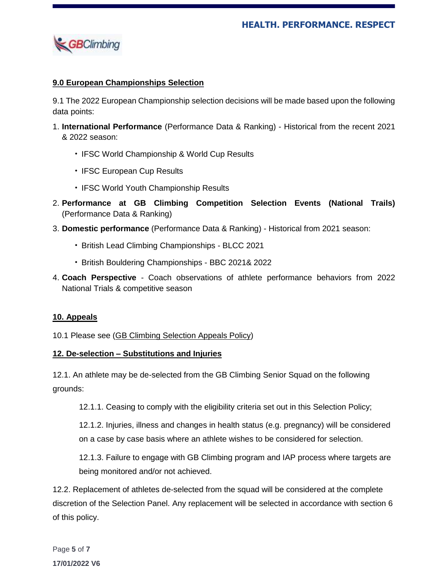

#### **9.0 European Championships Selection**

9.1 The 2022 European Championship selection decisions will be made based upon the following data points:

- 1. **International Performance** (Performance Data & Ranking) Historical from the recent 2021 & 2022 season:
	- IFSC World Championship & World Cup Results
	- IFSC European Cup Results
	- IFSC World Youth Championship Results
- 2. **Performance at GB Climbing Competition Selection Events (National Trails)** (Performance Data & Ranking)
- 3. **Domestic performance** (Performance Data & Ranking) Historical from 2021 season:
	- British Lead Climbing Championships BLCC 2021
	- British Bouldering Championships BBC 2021& 2022
- 4. **Coach Perspective** Coach observations of athlete performance behaviors from 2022 National Trials & competitive season

#### **10. Appeals**

10.1 Please see (GB Climbing [Selection](mailto:https://www.thebmc.co.uk/gb-climbing-selection-appeals-process) Appeals Policy)

#### **12. De-selection – Substitutions and Injuries**

12.1. An athlete may be de-selected from the GB Climbing Senior Squad on the following grounds:

12.1.1. Ceasing to comply with the eligibility criteria set out in this Selection Policy;

12.1.2. Injuries, illness and changes in health status (e.g. pregnancy) will be considered on a case by case basis where an athlete wishes to be considered for selection.

12.1.3. Failure to engage with GB Climbing program and IAP process where targets are being monitored and/or not achieved.

12.2. Replacement of athletes de-selected from the squad will be considered at the complete discretion of the Selection Panel. Any replacement will be selected in accordance with section 6 of this policy.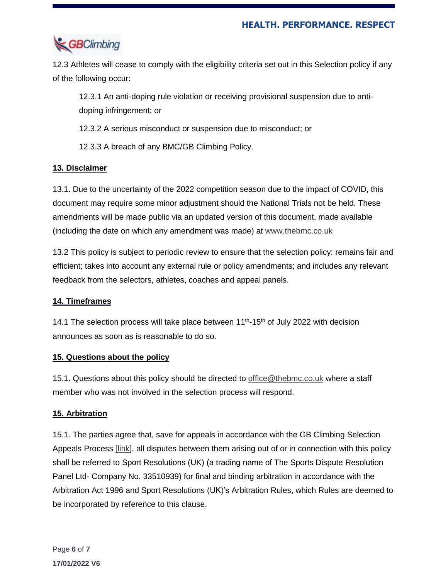

12.3 Athletes will cease to comply with the eligibility criteria set out in this Selection policy if any of the following occur:

12.3.1 An anti-doping rule violation or receiving provisional suspension due to antidoping infringement; or

12.3.2 A serious misconduct or suspension due to misconduct; or

12.3.3 A breach of any BMC/GB Climbing Policy.

# **13. Disclaimer**

13.1. Due to the uncertainty of the 2022 competition season due to the impact of COVID, this document may require some minor adjustment should the National Trials not be held. These amendments will be made public via an updated version of this document, made available (including the date on which any amendment was made) at [www.thebmc.co.uk](http://www.thebmc.co.uk/)

13.2 This policy is subject to periodic review to ensure that the selection policy: remains fair and efficient; takes into account any external rule or policy amendments; and includes any relevant feedback from the selectors, athletes, coaches and appeal panels.

# **14. Timeframes**

14.1 The selection process will take place between 11<sup>th</sup>-15<sup>th</sup> of July 2022 with decision announces as soon as is reasonable to do so.

# **15. Questions about the policy**

15.1. Questions about this policy should be directed to [office@thebmc.co.uk](mailto:office@thebmc.co.uk) where a staff member who was not involved in the selection process will respond.

# **15. Arbitration**

15.1. The parties agree that, save for appeals in accordance with the GB Climbing Selection Appeals Process [\[link\]](mailto:https://www.thebmc.co.uk/gb-climbing-selection-appeals-process), all disputes between them arising out of or in connection with this policy shall be referred to Sport Resolutions (UK) (a trading name of The Sports Dispute Resolution Panel Ltd- Company No. 33510939) for final and binding arbitration in accordance with the Arbitration Act 1996 and Sport Resolutions (UK)'s Arbitration Rules, which Rules are deemed to be incorporated by reference to this clause.